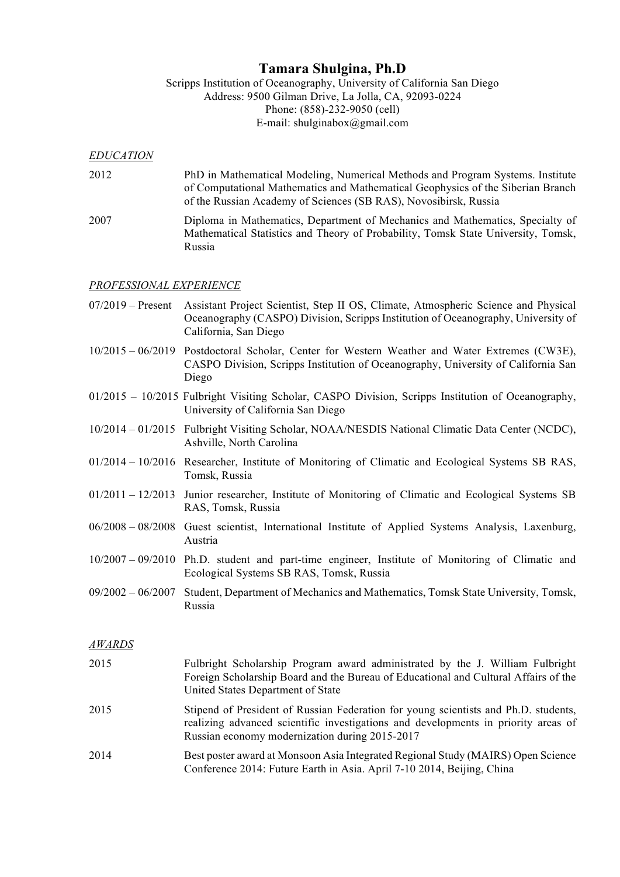# **Tamara Shulgina, Ph.D**

Scripps Institution of Oceanography, University of California San Diego Address: 9500 Gilman Drive, La Jolla, CA, 92093-0224 Phone: (858)-232-9050 (cell) E-mail: shulginabox@gmail.com

#### *EDUCATION*

- 2012 PhD in Mathematical Modeling, Numerical Methods and Program Systems. Institute of Computational Mathematics and Mathematical Geophysics of the Siberian Branch of the Russian Academy of Sciences (SB RAS), Novosibirsk, Russia
- 2007 Diploma in Mathematics, Department of Mechanics and Mathematics, Specialty of Mathematical Statistics and Theory of Probability, Tomsk State University, Tomsk, Russia

#### *PROFESSIONAL EXPERIENCE*

- 07/2019 Present Assistant Project Scientist, Step II OS, Climate, Atmospheric Science and Physical Oceanography (CASPO) Division, Scripps Institution of Oceanography, University of California, San Diego
- 10/2015 06/2019 Postdoctoral Scholar, Center for Western Weather and Water Extremes (CW3E), CASPO Division, Scripps Institution of Oceanography, University of California San Diego
- 01/2015 10/2015 Fulbright Visiting Scholar, CASPO Division, Scripps Institution of Oceanography, University of California San Diego
- 10/2014 01/2015 Fulbright Visiting Scholar, NOAA/NESDIS National Climatic Data Center (NCDC), Ashville, North Carolina
- 01/2014 10/2016 Researcher, Institute of Monitoring of Climatic and Ecological Systems SB RAS, Tomsk, Russia
- 01/2011 12/2013 Junior researcher, Institute of Monitoring of Climatic and Ecological Systems SB RAS, Tomsk, Russia
- 06/2008 08/2008 Guest scientist, International Institute of Applied Systems Analysis, Laxenburg, Austria
- 10/2007 09/2010 Ph.D. student and part-time engineer, Institute of Monitoring of Climatic and Ecological Systems SB RAS, Tomsk, Russia
- 09/2002 06/2007 Student, Department of Mechanics and Mathematics, Tomsk State University, Tomsk, Russia

#### *AWARDS*

| 2015 | Fulbright Scholarship Program award administrated by the J. William Fulbright<br>Foreign Scholarship Board and the Bureau of Educational and Cultural Affairs of the<br>United States Department of State                   |
|------|-----------------------------------------------------------------------------------------------------------------------------------------------------------------------------------------------------------------------------|
| 2015 | Stipend of President of Russian Federation for young scientists and Ph.D. students,<br>realizing advanced scientific investigations and developments in priority areas of<br>Russian economy modernization during 2015-2017 |
| 2014 | Best poster award at Monsoon Asia Integrated Regional Study (MAIRS) Open Science<br>Conference 2014: Future Earth in Asia. April 7-10 2014, Beijing, China                                                                  |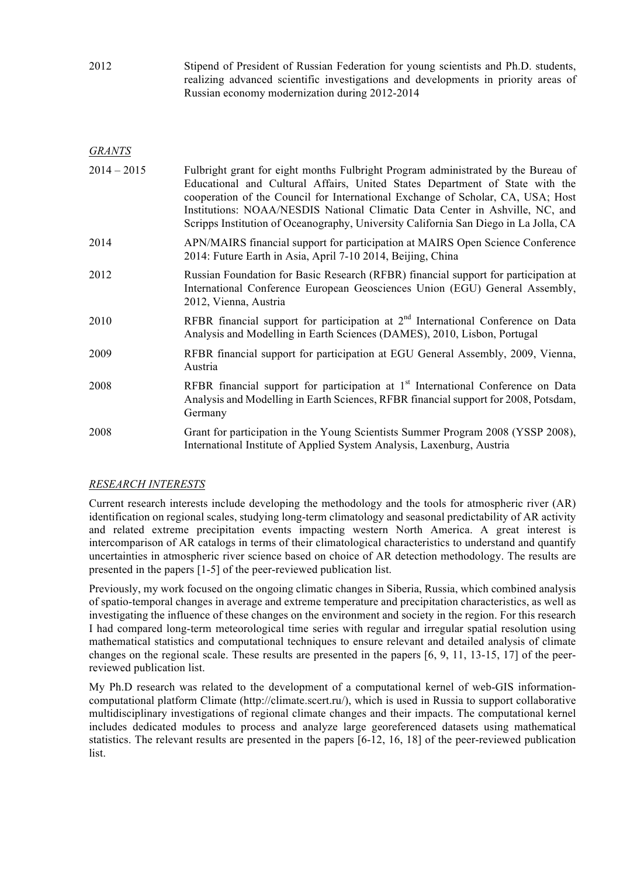2012 Stipend of President of Russian Federation for young scientists and Ph.D. students, realizing advanced scientific investigations and developments in priority areas of Russian economy modernization during 2012-2014

*GRANTS*

| $2014 - 2015$ | Fulbright grant for eight months Fulbright Program administrated by the Bureau of<br>Educational and Cultural Affairs, United States Department of State with the<br>cooperation of the Council for International Exchange of Scholar, CA, USA; Host<br>Institutions: NOAA/NESDIS National Climatic Data Center in Ashville, NC, and<br>Scripps Institution of Oceanography, University California San Diego in La Jolla, CA |
|---------------|------------------------------------------------------------------------------------------------------------------------------------------------------------------------------------------------------------------------------------------------------------------------------------------------------------------------------------------------------------------------------------------------------------------------------|
| 2014          | APN/MAIRS financial support for participation at MAIRS Open Science Conference<br>2014: Future Earth in Asia, April 7-10 2014, Beijing, China                                                                                                                                                                                                                                                                                |
| 2012          | Russian Foundation for Basic Research (RFBR) financial support for participation at<br>International Conference European Geosciences Union (EGU) General Assembly,<br>2012, Vienna, Austria                                                                                                                                                                                                                                  |
| 2010          | RFBR financial support for participation at $2nd$ International Conference on Data<br>Analysis and Modelling in Earth Sciences (DAMES), 2010, Lisbon, Portugal                                                                                                                                                                                                                                                               |
| 2009          | RFBR financial support for participation at EGU General Assembly, 2009, Vienna,<br>Austria                                                                                                                                                                                                                                                                                                                                   |
| 2008          | RFBR financial support for participation at 1 <sup>st</sup> International Conference on Data<br>Analysis and Modelling in Earth Sciences, RFBR financial support for 2008, Potsdam,<br>Germany                                                                                                                                                                                                                               |
| 2008          | Grant for participation in the Young Scientists Summer Program 2008 (YSSP 2008),<br>International Institute of Applied System Analysis, Laxenburg, Austria                                                                                                                                                                                                                                                                   |

## *RESEARCH INTERESTS*

Current research interests include developing the methodology and the tools for atmospheric river (AR) identification on regional scales, studying long-term climatology and seasonal predictability of AR activity and related extreme precipitation events impacting western North America. A great interest is intercomparison of AR catalogs in terms of their climatological characteristics to understand and quantify uncertainties in atmospheric river science based on choice of AR detection methodology. The results are presented in the papers [1-5] of the peer-reviewed publication list.

Previously, my work focused on the ongoing climatic changes in Siberia, Russia, which combined analysis of spatio-temporal changes in average and extreme temperature and precipitation characteristics, as well as investigating the influence of these changes on the environment and society in the region. For this research I had compared long-term meteorological time series with regular and irregular spatial resolution using mathematical statistics and computational techniques to ensure relevant and detailed analysis of climate changes on the regional scale. These results are presented in the papers [6, 9, 11, 13-15, 17] of the peerreviewed publication list.

My Ph.D research was related to the development of a computational kernel of web-GIS informationcomputational platform Climate (http://climate.scert.ru/), which is used in Russia to support collaborative multidisciplinary investigations of regional climate changes and their impacts. The computational kernel includes dedicated modules to process and analyze large georeferenced datasets using mathematical statistics. The relevant results are presented in the papers [6-12, 16, 18] of the peer-reviewed publication list.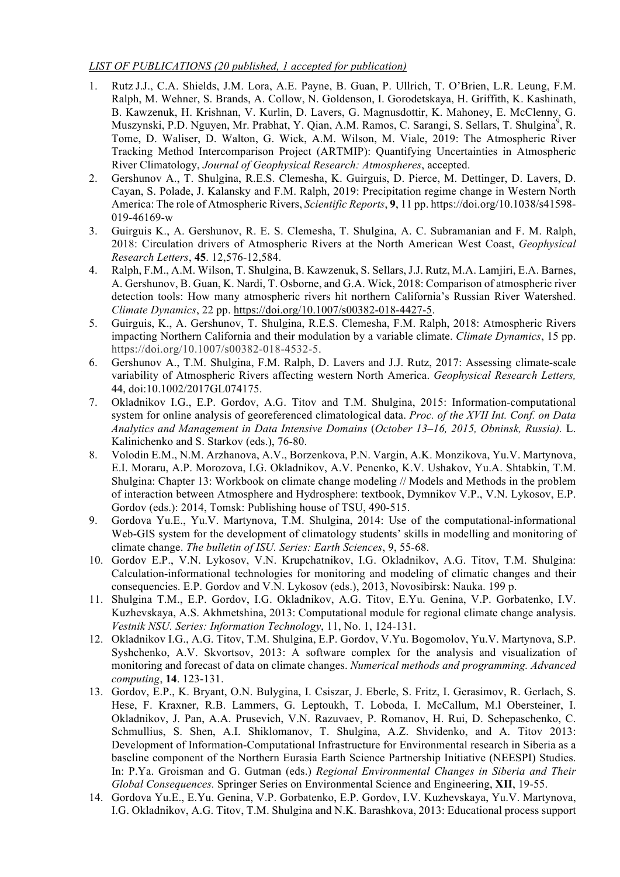### *LIST OF PUBLICATIONS (20 published, 1 accepted for publication)*

- 1. Rutz J.J., C.A. Shields, J.M. Lora, A.E. Payne, B. Guan, P. Ullrich, T. O'Brien, L.R. Leung, F.M. Ralph, M. Wehner, S. Brands, A. Collow, N. Goldenson, I. Gorodetskaya, H. Griffith, K. Kashinath, B. Kawzenuk, H. Krishnan, V. Kurlin, D. Lavers, G. Magnusdottir, K. Mahoney, E. McClenny, G. Muszynski, P.D. Nguyen, Mr. Prabhat, Y. Qian, A.M. Ramos, C. Sarangi, S. Sellars, T. Shulgina<sup>9</sup>, R. Tome, D. Waliser, D. Walton, G. Wick, A.M. Wilson, M. Viale, 2019: The Atmospheric River Tracking Method Intercomparison Project (ARTMIP): Quantifying Uncertainties in Atmospheric River Climatology, *Journal of Geophysical Research: Atmospheres*, accepted.
- 2. Gershunov A., T. Shulgina, R.E.S. Clemesha, K. Guirguis, D. Pierce, M. Dettinger, D. Lavers, D. Cayan, S. Polade, J. Kalansky and F.M. Ralph, 2019: Precipitation regime change in Western North America: The role of Atmospheric Rivers, *Scientific Reports*, **9**, 11 pp. https://doi.org/10.1038/s41598- 019-46169-w
- 3. Guirguis K., A. Gershunov, R. E. S. Clemesha, T. Shulgina, A. C. Subramanian and F. M. Ralph, 2018: Circulation drivers of Atmospheric Rivers at the North American West Coast, *Geophysical Research Letters*, **45**. 12,576-12,584.
- 4. Ralph, F.M., A.M. Wilson, T. Shulgina, B. Kawzenuk, S. Sellars, J.J. Rutz, M.A. Lamjiri, E.A. Barnes, A. Gershunov, B. Guan, K. Nardi, T. Osborne, and G.A. Wick, 2018: Comparison of atmospheric river detection tools: How many atmospheric rivers hit northern California's Russian River Watershed. *Climate Dynamics*, 22 pp. https://doi.org/10.1007/s00382-018-4427-5.
- 5. Guirguis, K., A. Gershunov, T. Shulgina, R.E.S. Clemesha, F.M. Ralph, 2018: Atmospheric Rivers impacting Northern California and their modulation by a variable climate. *Climate Dynamics*, 15 pp. https://doi.org/10.1007/s00382-018-4532-5.
- 6. Gershunov A., T.M. Shulgina, F.M. Ralph, D. Lavers and J.J. Rutz, 2017: Assessing climate-scale variability of Atmospheric Rivers affecting western North America. *Geophysical Research Letters,*  44, doi:10.1002/2017GL074175.
- 7. Okladnikov I.G., E.P. Gordov, A.G. Titov and T.M. Shulgina, 2015: Information-computational system for online analysis of georeferenced climatological data. *Proc. of the XVII Int. Conf. on Data Analytics and Management in Data Intensive Domains* (*October 13–16, 2015, Obninsk, Russia).* L. Kalinichenko and S. Starkov (eds.), 76-80.
- 8. Volodin E.M., N.M. Arzhanova, A.V., Borzenkova, P.N. Vargin, A.K. Monzikova, Yu.V. Martynova, E.I. Moraru, A.P. Morozova, I.G. Okladnikov, A.V. Penenko, K.V. Ushakov, Yu.A. Shtabkin, T.M. Shulgina: Chapter 13: Workbook on climate change modeling // Models and Methods in the problem of interaction between Atmosphere and Hydrosphere: textbook, Dymnikov V.P., V.N. Lykosov, E.P. Gordov (eds.): 2014, Tomsk: Publishing house of TSU, 490-515.
- 9. Gordova Yu.E., Yu.V. Martynova, T.M. Shulgina, 2014: Use of the computational-informational Web-GIS system for the development of climatology students' skills in modelling and monitoring of climate change. *The bulletin of ISU. Series: Earth Sciences*, 9, 55-68.
- 10. Gordov E.P., V.N. Lykosov, V.N. Krupchatnikov, I.G. Okladnikov, A.G. Titov, T.M. Shulgina: Calculation-informational technologies for monitoring and modeling of climatic changes and their consequencies. E.P. Gordov and V.N. Lykosov (eds.), 2013, Novosibirsk: Nauka. 199 p.
- 11. Shulgina T.M., E.P. Gordov, I.G. Okladnikov, A.G. Titov, E.Yu. Genina, V.P. Gorbatenko, I.V. Kuzhevskaya, A.S. Akhmetshina, 2013: Computational module for regional climate change analysis. *Vestnik NSU. Series: Information Technology*, 11, No. 1, 124-131.
- 12. Okladnikov I.G., A.G. Titov, T.M. Shulgina, E.P. Gordov, V.Yu. Bogomolov, Yu.V. Martynova, S.P. Syshchenko, A.V. Skvortsov, 2013: A software complex for the analysis and visualization of monitoring and forecast of data on climate changes. *Numerical methods and programming. Advanced computing*, **14**. 123-131.
- 13. Gordov, E.P., K. Bryant, O.N. Bulygina, I. Csiszar, J. Eberle, S. Fritz, I. Gerasimov, R. Gerlach, S. Hese, F. Kraxner, R.B. Lammers, G. Leptoukh, T. Loboda, I. McCallum, M.l Obersteiner, I. Okladnikov, J. Pan, A.A. Prusevich, V.N. Razuvaev, P. Romanov, H. Rui, D. Schepaschenko, C. Schmullius, S. Shen, A.I. Shiklomanov, T. Shulgina, A.Z. Shvidenko, and A. Titov 2013: Development of Information-Computational Infrastructure for Environmental research in Siberia as a baseline component of the Northern Eurasia Earth Science Partnership Initiative (NEESPI) Studies. In: P.Ya. Groisman and G. Gutman (eds.) *Regional Environmental Changes in Siberia and Their Global Consequences.* Springer Series on Environmental Science and Engineering, **XII**, 19-55.
- 14. Gordova Yu.E., E.Yu. Genina, V.P. Gorbatenko, E.P. Gordov, I.V. Kuzhevskaya, Yu.V. Martynova, I.G. Okladnikov, A.G. Titov, T.M. Shulgina and N.K. Barashkova, 2013: Educational process support